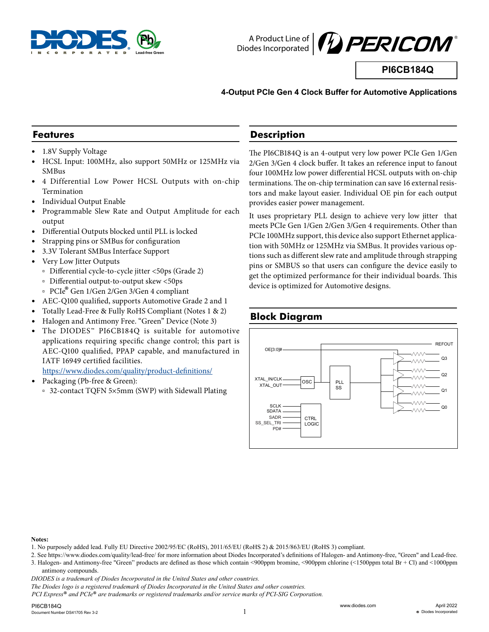



**PI6CB184Q**

#### **4-Output PCIe Gen 4 Clock Buffer for Automotive Applications**

## **Features**

- 1.8V Supply Voltage
- y HCSL Input: 100MHz, also support 50MHz or 125MHz via SMBus
- y 4 Differential Low Power HCSL Outputs with on-chip Termination
- Individual Output Enable
- Programmable Slew Rate and Output Amplitude for each output
- Differential Outputs blocked until PLL is locked
- Strapping pins or SMBus for configuration
- 3.3V Tolerant SMBus Interface Support
- y Very Low Jitter Outputs
	- à Differential cycle-to-cycle jitter <50ps (Grade 2)
	- à Differential output-to-output skew <50ps
	- <sup>à</sup> PCIe® Gen 1/Gen 2/Gen 3/Gen 4 compliant
- AEC-Q100 qualified, supports Automotive Grade 2 and 1
- y Totally Lead-Free & Fully RoHS Compliant (Notes 1 & 2)
- Halogen and Antimony Free. "Green" Device (Note 3)
- The DIODES™ PI6CB184Q is suitable for automotive applications requiring specific change control; this part is AEC-Q100 qualified, PPAP capable, and manufactured in IATF 16949 certified facilities.

https://www.diodes.com/quality/product-definitions/

- Packaging (Pb-free & Green):
	- à 32-contact TQFN 5×5mm (SWP) with Sidewall Plating

## **Description**

The PI6CB184Q is an 4-output very low power PCIe Gen 1/Gen 2/Gen 3/Gen 4 clock buffer. It takes an reference input to fanout four 100MHz low power differential HCSL outputs with on-chip terminations. The on-chip termination can save 16 external resistors and make layout easier. Individual OE pin for each output provides easier power management.

It uses proprietary PLL design to achieve very low jitter that meets PCIe Gen 1/Gen 2/Gen 3/Gen 4 requirements. Other than PCIe 100MHz support, this device also support Ethernet application with 50MHz or 125MHz via SMBus. It provides various options such as different slew rate and amplitude through strapping pins or SMBUS so that users can configure the device easily to get the optimized performance for their individual boards. This device is optimized for Automotive designs.

# **Block Diagram**



#### **Notes:**

- 1. No purposely added lead. Fully EU Directive 2002/95/EC (RoHS), 2011/65/EU (RoHS 2) & 2015/863/EU (RoHS 3) compliant.
- 2. See https://www.diodes.com/quality/lead-free/ for more information about Diodes Incorporated's definitions of Halogen- and Antimony-free, "Green" and Lead-free. 3. Halogen- and Antimony-free "Green" products are defined as those which contain <900ppm bromine, <900ppm chlorine (<1500ppm total Br + Cl) and <1000ppm antimony compounds.

*DIODES is a trademark of Diodes Incorporated in the United States and other countries.*

*PCI Express*® *and PCIe*® *are trademarks or registered trademarks and/or service marks of PCI-SIG Corporation.*

*The Diodes logo is a registered trademark of Diodes Incorporated in the United States and other countries.*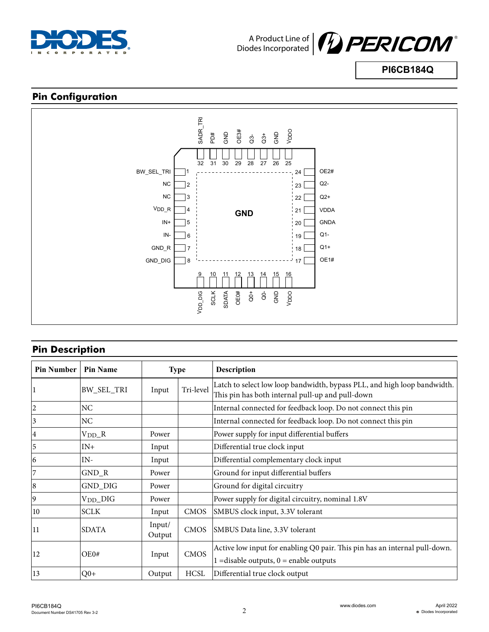



**PI6CB184Q**

# **Pin Configuration**



# **Pin Description**

| <b>Pin Number</b> | <b>Pin Name</b>   |                  | <b>Type</b> | <b>Description</b>                                                                                                           |
|-------------------|-------------------|------------------|-------------|------------------------------------------------------------------------------------------------------------------------------|
|                   | <b>BW_SEL_TRI</b> | Input            | Tri-level   | Latch to select low loop bandwidth, bypass PLL, and high loop bandwidth.<br>This pin has both internal pull-up and pull-down |
| 2                 | NC                |                  |             | Internal connected for feedback loop. Do not connect this pin                                                                |
| 3                 | NC                |                  |             | Internal connected for feedback loop. Do not connect this pin                                                                |
| 4                 | $V_{DD\_}R$       | Power            |             | Power supply for input differential buffers                                                                                  |
| 5                 | $IN+$             | Input            |             | Differential true clock input                                                                                                |
| 16                | $IN-$             | Input            |             | Differential complementary clock input                                                                                       |
| 7                 | $GND_R$           | Power            |             | Ground for input differential buffers                                                                                        |
| 8                 | GND_DIG           | Power            |             | Ground for digital circuitry                                                                                                 |
| 19                | $V_{DD}\_DIG$     | Power            |             | Power supply for digital circuitry, nominal 1.8V                                                                             |
| 10                | <b>SCLK</b>       | Input            | <b>CMOS</b> | SMBUS clock input, 3.3V tolerant                                                                                             |
| 11                | <b>SDATA</b>      | Input/<br>Output | <b>CMOS</b> | SMBUS Data line, 3.3V tolerant                                                                                               |
| 12                | OE0#              | Input            | <b>CMOS</b> | Active low input for enabling Q0 pair. This pin has an internal pull-down.<br>$1 =$ disable outputs, $0 =$ enable outputs    |
| $\vert$ 13        | $Q0+$             | Output           | <b>HCSL</b> | Differential true clock output                                                                                               |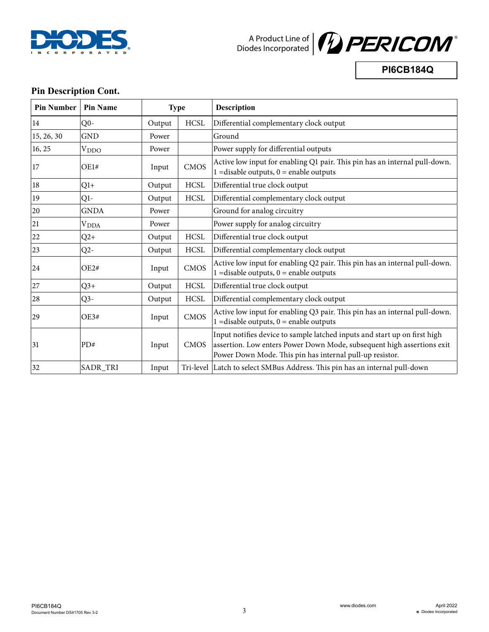



**PI6CB184Q**

# **Pin Description Cont.**

| <b>Pin Number</b> | <b>Pin Name</b>         | <b>Type</b> |             | <b>Description</b>                                                                                                                                                                                              |
|-------------------|-------------------------|-------------|-------------|-----------------------------------------------------------------------------------------------------------------------------------------------------------------------------------------------------------------|
| 14                | Q <sub>0</sub>          | Output      | <b>HCSL</b> | Differential complementary clock output                                                                                                                                                                         |
| 15, 26, 30        | <b>GND</b>              | Power       |             | Ground                                                                                                                                                                                                          |
| 16, 25            | <b>V</b> <sub>DDO</sub> | Power       |             | Power supply for differential outputs                                                                                                                                                                           |
| 17                | OE1#                    | Input       | <b>CMOS</b> | Active low input for enabling Q1 pair. This pin has an internal pull-down.<br>$1 =$ disable outputs, $0 =$ enable outputs                                                                                       |
| 18                | $Q1+$                   | Output      | <b>HCSL</b> | Differential true clock output                                                                                                                                                                                  |
| 19                | $Q1-$                   | Output      | <b>HCSL</b> | Differential complementary clock output                                                                                                                                                                         |
| 20                | <b>GNDA</b>             | Power       |             | Ground for analog circuitry                                                                                                                                                                                     |
| 21                | V <sub>DDA</sub>        | Power       |             | Power supply for analog circuitry                                                                                                                                                                               |
| 22                | $Q2+$                   | Output      | <b>HCSL</b> | Differential true clock output                                                                                                                                                                                  |
| 23                | $Q2-$                   | Output      | <b>HCSL</b> | Differential complementary clock output                                                                                                                                                                         |
| 24                | OE2#                    | Input       | CMOS        | Active low input for enabling Q2 pair. This pin has an internal pull-down.<br>$1 =$ disable outputs, $0 =$ enable outputs                                                                                       |
| 27                | $Q3+$                   | Output      | <b>HCSL</b> | Differential true clock output                                                                                                                                                                                  |
| 28                | $Q3-$                   | Output      | <b>HCSL</b> | Differential complementary clock output                                                                                                                                                                         |
| 29                | OE3#                    | Input       | <b>CMOS</b> | Active low input for enabling Q3 pair. This pin has an internal pull-down.<br>$1 =$ disable outputs, $0 =$ enable outputs                                                                                       |
| 31                | PD#                     | Input       | CMOS        | Input notifies device to sample latched inputs and start up on first high<br>assertion. Low enters Power Down Mode, subsequent high assertions exit<br>Power Down Mode. This pin has internal pull-up resistor. |
| 32                | SADR_TRI                | Input       |             | Tri-level Latch to select SMBus Address. This pin has an internal pull-down                                                                                                                                     |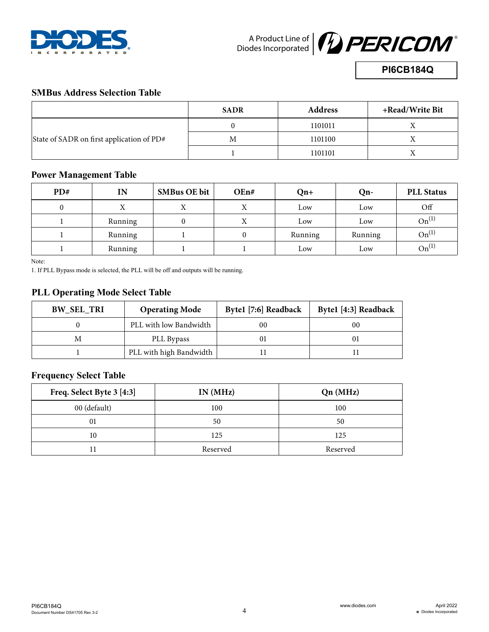



**PI6CB184Q**

# **SMBus Address Selection Table**

|                                           | <b>SADR</b> | <b>Address</b> | +Read/Write Bit |
|-------------------------------------------|-------------|----------------|-----------------|
|                                           |             | 1101011        |                 |
| State of SADR on first application of PD# | M           | 1101100        |                 |
|                                           |             | 1101101        |                 |

# **Power Management Table**

| PD# | IN      | <b>SMBus OE bit</b> | OEn# | $On+$   | $Qn-$   | <b>PLL Status</b> |
|-----|---------|---------------------|------|---------|---------|-------------------|
|     |         | X                   |      | Low     | Low     | Off               |
|     | Running |                     |      | Low     | Low     | $On^{(1)}$        |
|     | Running |                     |      | Running | Running | $On^{(1)}$        |
|     | Running |                     |      | Low     | Low     | $On^{(1)}$        |

Note:

1. If PLL Bypass mode is selected, the PLL will be off and outputs will be running.

# **PLL Operating Mode Select Table**

| <b>BW_SEL_TRI</b> | <b>Operating Mode</b>   | Byte1 [7:6] Readback | Byte1 [4:3] Readback |
|-------------------|-------------------------|----------------------|----------------------|
|                   | PLL with low Bandwidth  | 00                   | 00                   |
| М                 | PLL Bypass              |                      |                      |
|                   | PLL with high Bandwidth |                      |                      |

# **Frequency Select Table**

| Freq. Select Byte 3 [4:3] | IN(MHz)  | Qn(MHz)  |
|---------------------------|----------|----------|
| 00 (default)              | 100      | 100      |
| 01                        | 50       | 50       |
| 10                        | 125      | 125      |
|                           | Reserved | Reserved |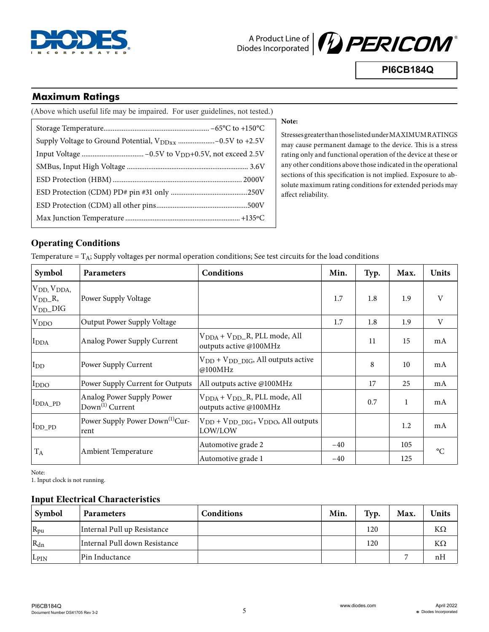



**PI6CB184Q**

# **Maximum Ratings**

| (Above which useful life may be impaired. For user guidelines, not tested.) |
|-----------------------------------------------------------------------------|
|                                                                             |
|                                                                             |
|                                                                             |
|                                                                             |
|                                                                             |
|                                                                             |
|                                                                             |
|                                                                             |

#### **Note:**

Stresses greater than those listed under MAXIMUM RATINGS may cause permanent damage to the device. This is a stress rating only and functional operation of the device at these or any other conditions above those indicated in the operational sections of this specification is not implied. Exposure to absolute maximum rating conditions for extended periods may affect reliability.

# **Operating Conditions**

Temperature  $= T_A$ ; Supply voltages per normal operation conditions; See test circuits for the load conditions

| Symbol                                                                 | <b>Parameters</b>                                        | <b>Conditions</b>                                                              | Min.  | Typ. | Max.         | <b>Units</b>    |
|------------------------------------------------------------------------|----------------------------------------------------------|--------------------------------------------------------------------------------|-------|------|--------------|-----------------|
| $ V_{DD}$ , $V_{DDA}$ ,<br>$ V_{DD}$ <sub>R</sub> ,<br>$ V_{DD}\_DIG $ | Power Supply Voltage                                     |                                                                                | 1.7   | 1.8  | 1.9          | V               |
| $ V_{DDO} $                                                            | Output Power Supply Voltage                              |                                                                                | 1.7   | 1.8  | 1.9          | V               |
| I <sub>DDA</sub>                                                       | Analog Power Supply Current                              | V <sub>DDA</sub> + V <sub>DD</sub> _R, PLL mode, All<br>outputs active @100MHz |       | 11   | 15           | mA              |
| I <sub>DD</sub>                                                        | Power Supply Current                                     | $V_{DD} + V_{DD}$ $_{DIG}$ , All outputs active<br>@100MHz                     |       | 8    | 10           | mA              |
| I <sub>DDO</sub>                                                       | Power Supply Current for Outputs                         | All outputs active @100MHz                                                     |       | 17   | 25           | mA              |
| $IDDA_PD$                                                              | Analog Power Supply Power<br>Down <sup>(1)</sup> Current | $VDDA + VDD$ R, PLL mode, All<br>outputs active @100MHz                        |       | 0.7  | $\mathbf{1}$ | mA              |
| $I_{DD_PD}$                                                            | Power Supply Power Down <sup>(1)</sup> Cur-<br>rent      | $V_{DD} + V_{DD_DIG+} V_{DDO}$ , All outputs<br>LOW/LOW                        |       |      | 1.2          | mA              |
|                                                                        |                                                          | Automotive grade 2                                                             | $-40$ |      | 105          | $\rm ^{\circ}C$ |
| $T_A$                                                                  | Ambient Temperature                                      | Automotive grade 1                                                             | $-40$ |      | 125          |                 |

Note:

1. Input clock is not running.

#### **Input Electrical Characteristics**

| Symbol                   | <b>Parameters</b>             | Conditions | Min. | Typ. | Max.           | Units |
|--------------------------|-------------------------------|------------|------|------|----------------|-------|
| $R_{\rm pu}$             | Internal Pull up Resistance   |            |      | 120  |                | ΚΩ    |
| $\mathbf{R}_{\text{dn}}$ | Internal Pull down Resistance |            |      | 120  |                | KΩ    |
| L <sub>PIN</sub>         | Pin Inductance                |            |      |      | $\overline{ }$ | nН    |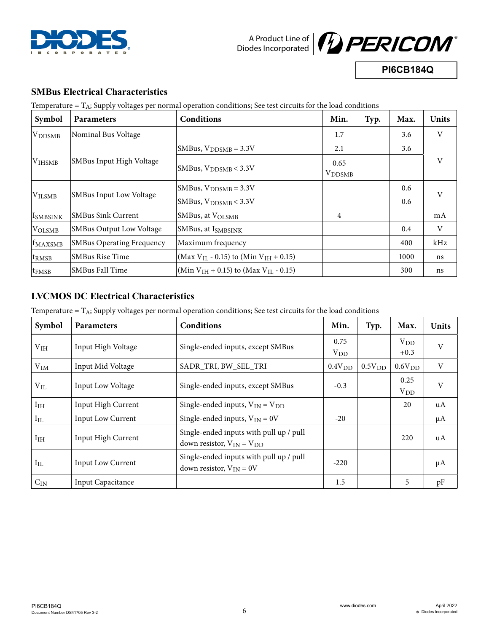



**PI6CB184Q**

## **SMBus Electrical Characteristics**

Temperature  $= T_A$ ; Supply voltages per normal operation conditions; See test circuits for the load conditions

| Symbol                     | <b>Parameters</b>                | Conditions                                                   | Min.                  | Typ. | Max. | <b>Units</b> |
|----------------------------|----------------------------------|--------------------------------------------------------------|-----------------------|------|------|--------------|
| <b>VDDSMB</b>              | Nominal Bus Voltage              |                                                              | 1.7                   |      | 3.6  | V            |
|                            |                                  | SMBus, $V_{DDSMB} = 3.3V$                                    | 2.1                   |      | 3.6  |              |
| V <sub>IHSMB</sub>         | SMBus Input High Voltage         | SMBus, $V_{\text{DDSMB}} < 3.3V$                             | 0.65<br><b>VDDSMB</b> |      |      | V            |
|                            | <b>SMBus Input Low Voltage</b>   | SMBus, $V_{DDSMB} = 3.3V$                                    |                       |      | 0.6  | V            |
| <b>VILSMB</b>              |                                  | SMBus, $V_{\text{DDSMB}} < 3.3V$                             |                       |      | 0.6  |              |
| <b>I</b> smbsink           | SMBus Sink Current               | SMBus, at VOLSMB                                             | 4                     |      |      | mA           |
| VOLSMB                     | <b>SMBus Output Low Voltage</b>  | SMBus, at ISMBSINK                                           |                       |      | 0.4  | V            |
| <b>f</b> <sub>MAXSMB</sub> | <b>SMBus Operating Frequency</b> | Maximum frequency                                            |                       |      | 400  | kHz          |
| <sup>t</sup> rmsb          | <b>SMBus Rise Time</b>           | (Max V <sub>IL</sub> - 0.15) to (Min V <sub>IH</sub> + 0.15) |                       |      | 1000 | ns           |
| $ t_{\rm FMSB} $           | <b>SMBus Fall Time</b>           | (Min $V_{IH}$ + 0.15) to (Max $V_{II}$ - 0.15)               |                       |      | 300  | ns           |

# **LVCMOS DC Electrical Characteristics**

Temperature  $= T_A$ ; Supply voltages per normal operation conditions; See test circuits for the load conditions

| Symbol          | <b>Parameters</b>        | Conditions                                                                  | Min.               | Typ.               | Max.               | <b>Units</b> |
|-----------------|--------------------------|-----------------------------------------------------------------------------|--------------------|--------------------|--------------------|--------------|
| V <sub>IH</sub> | Input High Voltage       | Single-ended inputs, except SMBus                                           | 0.75<br>$V_{DD}$   |                    | $V_{DD}$<br>$+0.3$ | $\mathbf V$  |
| $V_{IM}$        | Input Mid Voltage        | SADR_TRI, BW_SEL_TRI                                                        | 0.4V <sub>DD</sub> | 0.5V <sub>DD</sub> | 0.6V <sub>DD</sub> | V            |
| $V_{IL}$        | Input Low Voltage        | Single-ended inputs, except SMBus                                           | $-0.3$             |                    | 0.25<br>$V_{DD}$   | V            |
| I <sub>IH</sub> | Input High Current       | Single-ended inputs, $V_{IN} = V_{DD}$                                      |                    |                    | 20                 | uA           |
| $I_{IL}$        | Input Low Current        | Single-ended inputs, $V_{IN} = 0V$                                          | $-20$              |                    |                    | $\mu A$      |
| I <sub>IH</sub> | Input High Current       | Single-ended inputs with pull up / pull<br>down resistor, $V_{IN} = V_{DD}$ |                    |                    | 220                | uA           |
| $I_{IL}$        | Input Low Current        | Single-ended inputs with pull up / pull<br>down resistor, $V_{IN} = 0V$     | $-220$             |                    |                    | $\mu A$      |
| $C_{IN}$        | <b>Input Capacitance</b> |                                                                             | 1.5                |                    | 5                  | pF           |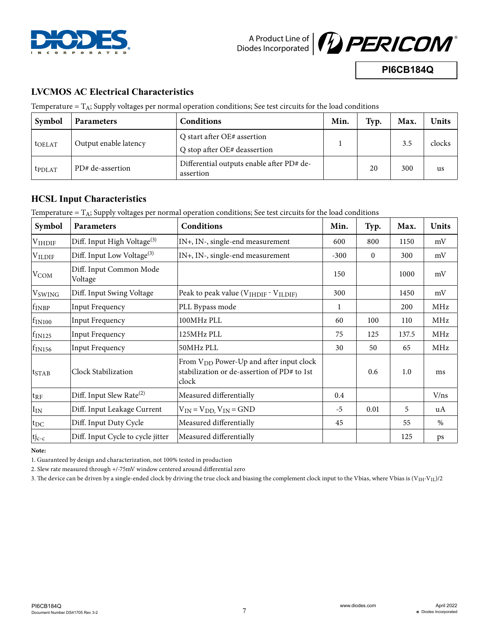



**PI6CB184Q**

# **LVCMOS AC Electrical Characteristics**

Temperature  $= T_A$ ; Supply voltages per normal operation conditions; See test circuits for the load conditions

| Symbol             | <b>Parameters</b>     | <b>Conditions</b>                                           | Min. | Typ. | Max. | Units  |
|--------------------|-----------------------|-------------------------------------------------------------|------|------|------|--------|
| t <sub>OELAT</sub> | Output enable latency | Q start after OE# assertion<br>Q stop after OE# deassertion |      |      | 3.5  | clocks |
| <b>t</b> PDLAT     | PD# de-assertion      | Differential outputs enable after PD# de-<br>assertion      |      | 20   | 300  | us     |

## **HCSL Input Characteristics**

Temperature  $= T_A$ ; Supply voltages per normal operation conditions; See test circuits for the load conditions

| Symbol                    | Parameters                              | Conditions                                                                                                  | Min.   | Typ.         | Max.  | <b>Units</b> |
|---------------------------|-----------------------------------------|-------------------------------------------------------------------------------------------------------------|--------|--------------|-------|--------------|
| $V$ IHDIF                 | Diff. Input High Voltage <sup>(3)</sup> | IN+, IN-, single-end measurement                                                                            | 600    | 800          | 1150  | mV           |
| $V_{\rm ILDIF}$           | Diff. Input Low Voltage <sup>(3)</sup>  | IN+, IN-, single-end measurement                                                                            | $-300$ | $\mathbf{0}$ | 300   | mV           |
| $V_{COM}$                 | Diff. Input Common Mode<br>Voltage      |                                                                                                             | 150    |              | 1000  | mV           |
| <b>V</b> <sub>SWING</sub> | Diff. Input Swing Voltage               | Peak to peak value ( $VIHDIF - VILDIF$ )                                                                    | 300    |              | 1450  | mV           |
| $ f_{\rm INBP} $          | Input Frequency                         | PLL Bypass mode                                                                                             | 1      |              | 200   | MHz          |
| $f_{IN100}$               | <b>Input Frequency</b>                  | 100MHz PLL                                                                                                  | 60     | 100          | 110   | MHz          |
| $f_{IN125}$               | <b>Input Frequency</b>                  | 125MHz PLL                                                                                                  | 75     | 125          | 137.5 | MHz          |
| $\rm f_{IN156}$           | <b>Input Frequency</b>                  | 50MHz PLL                                                                                                   | 30     | 50           | 65    | MHz          |
| $t_{STAB}$                | Clock Stabilization                     | From V <sub>DD</sub> Power-Up and after input clock<br>stabilization or de-assertion of PD# to 1st<br>clock |        | 0.6          | 1.0   | ms           |
| $ {\rm t}_{\rm RF} $      | Diff. Input Slew Rate <sup>(2)</sup>    | Measured differentially                                                                                     | 0.4    |              |       | V/ns         |
| $I_{IN}$                  | Diff. Input Leakage Current             | $V_{IN} = V_{DD}$ , $V_{IN} = GND$                                                                          | $-5$   | 0.01         | 5     | uA           |
| $_{\rm ^{tpc}}$           | Diff. Input Duty Cycle                  | Measured differentially                                                                                     | 45     |              | 55    | $\%$         |
| $tj_{c-c}$                | Diff. Input Cycle to cycle jitter       | Measured differentially                                                                                     |        |              | 125   | ps           |

**Note:**

1. Guaranteed by design and characterization, not 100% tested in production

2. Slew rate measured through +/-75mV window centered around differential zero

3. The device can be driven by a single-ended clock by driving the true clock and biasing the complement clock input to the Vbias, where Vbias is (V<sub>IH</sub>-V<sub>IL</sub>)/2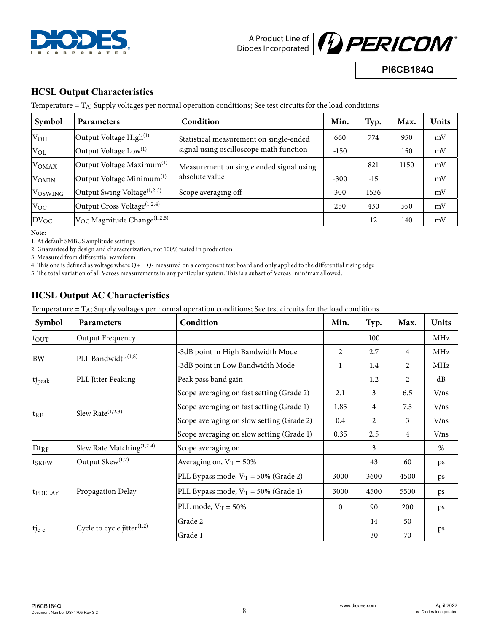



**PI6CB184Q**

# **HCSL Output Characteristics**

Temperature  $= T_A$ ; Supply voltages per normal operation conditions; See test circuits for the load conditions

| Symbol                      | <b>Parameters</b>                                    | Condition                                | Min.   | Typ.  | Max. | <b>Units</b> |
|-----------------------------|------------------------------------------------------|------------------------------------------|--------|-------|------|--------------|
| $V_{OH}$                    | Output Voltage High $^{(1)}$                         | Statistical measurement on single-ended  | 660    | 774   | 950  | mV           |
| $V_{OL}$                    | Output Voltage Low <sup>(1)</sup>                    | signal using oscilloscope math function  | $-150$ |       | 150  | mV           |
| <b>VOMAX</b>                | Output Voltage Maximum <sup>(1)</sup>                | Measurement on single ended signal using |        | 821   | 1150 | mV           |
| <b>VOMIN</b>                | Output Voltage Minimum $^{(1)}$                      | absolute value                           | $-300$ | $-15$ |      | mV           |
| <b>VOSWING</b>              | Output Swing Voltage $(1,2,3)$                       | Scope averaging off                      | 300    | 1536  |      | mV           |
| $V_{OC}$                    | Output Cross Voltage <sup>(1,2,4)</sup>              |                                          | 250    | 430   | 550  | mV           |
| $ _{\text{DV}_{\text{OC}}}$ | $\rm ^{ V_{OC}}$ Magnitude Change $^{\rm {(1,2,5)}}$ |                                          |        | 12    | 140  | mV           |

**Note:**

1. At default SMBUS amplitude settings

2. Guaranteed by design and characterization, not 100% tested in production

3. Measured from differential waveform

4. This one is defined as voltage where Q+ = Q- measured on a component test board and only applied to the differential rising edge

5. The total variation of all Vcross measurements in any particular system. This is a subset of Vcross\_min/max allowed.

# **HCSL Output AC Characteristics**

Temperature  $= T_A$ ; Supply voltages per normal operation conditions; See test circuits for the load conditions

| Symbol              | Parameters                             | Condition                                 | Min.           | Typ.           | Max.           | <b>Units</b> |
|---------------------|----------------------------------------|-------------------------------------------|----------------|----------------|----------------|--------------|
| fout                | Output Frequency                       |                                           |                | 100            |                | MHz          |
|                     |                                        | -3dB point in High Bandwidth Mode         | $\overline{2}$ | 2.7            | $\overline{4}$ | MHz          |
| <b>BW</b>           | PLL Bandwidth <sup>(1,8)</sup>         | -3dB point in Low Bandwidth Mode          | 1              | 1.4            | 2              | MHz          |
| tj <sub>peak</sub>  | PLL Jitter Peaking                     | Peak pass band gain                       |                | 1.2            | $\overline{2}$ | dB           |
|                     |                                        | Scope averaging on fast setting (Grade 2) | 2.1            | 3              | 6.5            | V/ns         |
|                     |                                        | Scope averaging on fast setting (Grade 1) | 1.85           | $\overline{4}$ | 7.5            | V/ns         |
| $t_{\rm RF}$        | Slew Rate $(1,2,3)$                    | Scope averaging on slow setting (Grade 2) | $0.4\,$        | 2              | 3              | V/ns         |
|                     |                                        | Scope averaging on slow setting (Grade 1) | 0.35           | 2.5            | $\overline{4}$ | V/ns         |
| $Dt_{RF}$           | Slew Rate Matching <sup>(1,2,4)</sup>  | Scope averaging on                        |                | 3              |                | $\%$         |
| t <sub>SKEW</sub>   | Output Skew <sup>(1,2)</sup>           | Averaging on, $V_T = 50\%$                |                | 43             | 60             | ps           |
|                     |                                        | PLL Bypass mode, $V_T = 50\%$ (Grade 2)   | 3000           | 3600           | 4500           | ps           |
| t <sub>PDELAY</sub> | Propagation Delay                      | PLL Bypass mode, $V_T = 50\%$ (Grade 1)   | 3000           | 4500           | 5500           | ps           |
|                     |                                        | PLL mode, $V_T = 50\%$                    | $\mathbf{0}$   | 90             | 200            | ps           |
|                     |                                        | Grade 2                                   |                | 14             | 50             |              |
| $t_{\rm Jc-c}$      | Cycle to cycle jitter <sup>(1,2)</sup> | Grade 1                                   |                | 30             | 70             | ps           |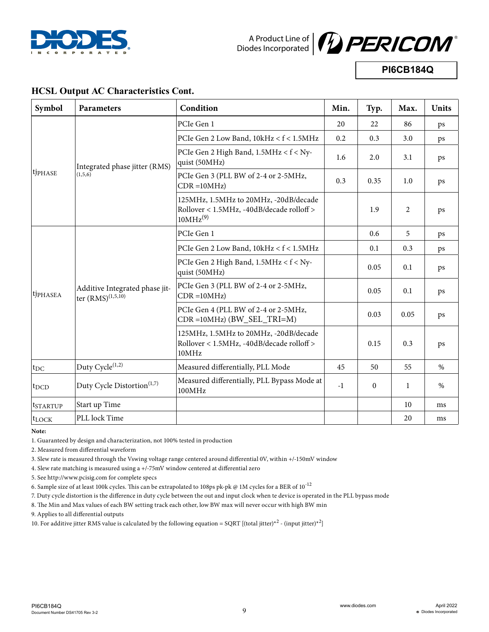



**PI6CB184Q**

## **HCSL Output AC Characteristics Cont.**

| Symbol               | <b>Parameters</b>                                                | Condition                                                                                                  | Min. | Typ.         | Max. | <b>Units</b> |
|----------------------|------------------------------------------------------------------|------------------------------------------------------------------------------------------------------------|------|--------------|------|--------------|
|                      |                                                                  | PCIe Gen 1                                                                                                 | 20   | 22           | 86   | ps           |
|                      |                                                                  | PCIe Gen 2 Low Band, 10kHz < f < 1.5MHz                                                                    | 0.2  | 0.3          | 3.0  | ps           |
|                      | Integrated phase jitter (RMS)                                    | PCIe Gen 2 High Band, 1.5MHz < f < Ny-<br>quist (50MHz)                                                    | 1.6  | 2.0          | 3.1  | ps           |
| tjphase              | (1,5,6)                                                          | PCIe Gen 3 (PLL BW of 2-4 or 2-5MHz,<br>$CDR = 10MHz$                                                      | 0.3  | 0.35         | 1.0  | ps           |
|                      |                                                                  | 125MHz, 1.5MHz to 20MHz, -20dB/decade<br>Rollover < 1.5MHz, -40dB/decade rolloff ><br>10MHz <sup>(9)</sup> |      | 1.9          | 2    | ps           |
|                      |                                                                  | PCIe Gen 1                                                                                                 |      | 0.6          | 5    | ps           |
|                      |                                                                  | PCIe Gen 2 Low Band, 10kHz < f < 1.5MHz                                                                    |      | 0.1          | 0.3  | ps           |
|                      |                                                                  | PCIe Gen 2 High Band, 1.5MHz < f < Ny-<br>quist (50MHz)                                                    |      | 0.05         | 0.1  | ps           |
| tjphasea             | Additive Integrated phase jit-<br>ter $(RMS)^{(1,5,\tilde{10})}$ | PCIe Gen 3 (PLL BW of 2-4 or 2-5MHz,<br>$CDR = 10MHz$                                                      |      | 0.05         | 0.1  | ps           |
|                      |                                                                  | PCIe Gen 4 (PLL BW of 2-4 or 2-5MHz,<br>CDR =10MHz) (BW_SEL_TRI=M)                                         |      | 0.03         | 0.05 | ps           |
|                      |                                                                  | 125MHz, 1.5MHz to 20MHz, -20dB/decade<br>Rollover < 1.5MHz, -40dB/decade rolloff ><br>10MHz                |      | 0.15         | 0.3  | ps           |
| $ t_{\rm DC} $       | Duty Cycle <sup>(1,2)</sup>                                      | Measured differentially, PLL Mode                                                                          | 45   | 50           | 55   | $\%$         |
| $ t_{DCD} $          | Duty Cycle Distortion <sup>(1,7)</sup>                           | Measured differentially, PLL Bypass Mode at<br>100MHz                                                      | $-1$ | $\mathbf{0}$ | 1    | $\%$         |
| <sup>t</sup> startup | Start up Time                                                    |                                                                                                            |      |              | 10   | ms           |
| $ t_{\rm{LOCK}} $    | PLL lock Time                                                    |                                                                                                            |      |              | 20   | ms           |

**Note:**

1. Guaranteed by design and characterization, not 100% tested in production

2. Measured from differential waveform

3. Slew rate is measured through the Vswing voltage range centered around differential 0V, within +/-150mV window

4. Slew rate matching is measured using a +/-75mV window centered at differential zero

5. See http://www.pcisig.com for complete specs

6. Sample size of at least 100k cycles. This can be extrapolated to 108ps pk-pk @ 1M cycles for a BER of  $10^{-12}$ 

7. Duty cycle distortion is the difference in duty cycle between the out and input clock when te device is operated in the PLL bypass mode

8. The Min and Max values of each BW setting track each other, low BW max will never occur with high BW min

9. Applies to all differential outputs

10. For additive jitter RMS value is calculated by the following equation = SQRT [(total jitter)\*<sup>2</sup> - (input jitter)\*<sup>2</sup>]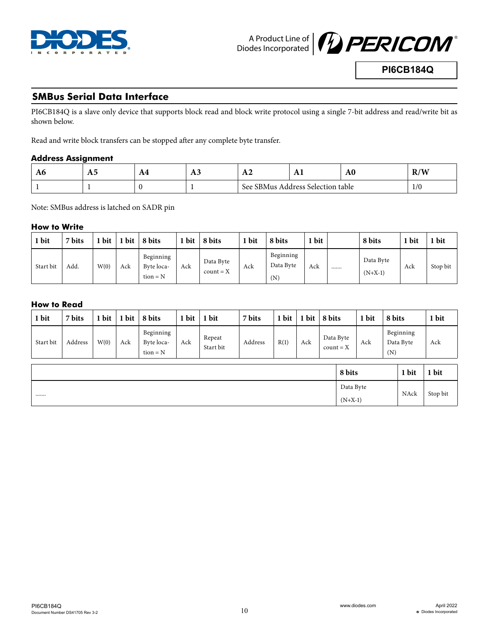



## **SMBus Serial Data Interface**

PI6CB184Q is a slave only device that supports block read and block write protocol using a single 7-bit address and read/write bit as shown below.

Read and write block transfers can be stopped after any complete byte transfer.

#### **Address Assignment**

| ЛU | 18J | $\mathbf{\mathbf{a}}$<br><b>TFT</b> | 18J | 1 L 4     |                           | A <sub>0</sub> | $T \times T$<br><b>AVI VV</b> |
|----|-----|-------------------------------------|-----|-----------|---------------------------|----------------|-------------------------------|
|    |     | л.                                  |     | See SBMus | ः Address Selection table |                | 1/0                           |

Note: SMBus address is latched on SADR pin

#### **How to Write**

| bit       | 7 bits | 1 bit | 1 bit | 8 bits                                | 1 bit | 8 bits                   | 1 bit | 8 bits                        | bit | 8 bits                     | 1 bit | 1 bit    |
|-----------|--------|-------|-------|---------------------------------------|-------|--------------------------|-------|-------------------------------|-----|----------------------------|-------|----------|
| Start bit | Add.   | W(0)  | Ack   | Beginning<br>Byte loca-<br>$tion = N$ | Ack   | Data Byte<br>$count = X$ | Ack   | Beginning<br>Data Byte<br>(N) | Ack | <br>Data Byte<br>$(N+X-1)$ | Ack   | Stop bit |

#### **How to Read**

| 1 bit     | 7 bits  | 1 bit | 1 bit | 8 bits                                | 1 bit | 1 bit               | 7 bits  | 1 bit | 1 bit | 8 bits |                          | 1 bit | 8 bits |                        | 1 bit    |
|-----------|---------|-------|-------|---------------------------------------|-------|---------------------|---------|-------|-------|--------|--------------------------|-------|--------|------------------------|----------|
| Start bit | Address | W(0)  | Ack   | Beginning<br>Byte loca-<br>$tion = N$ | Ack   | Repeat<br>Start bit | Address | R(1)  | Ack   |        | Data Byte<br>$count = X$ | Ack   | (N)    | Beginning<br>Data Byte | Ack      |
|           |         |       |       |                                       |       |                     |         |       |       |        | 8 bits                   |       |        | 1 bit                  | 1 bit    |
|           |         |       |       |                                       |       |                     |         |       |       |        | Data Byte                |       |        | NAck                   | Stop bit |
|           |         |       |       |                                       |       |                     |         |       |       |        | $(N+X-1)$                |       |        |                        |          |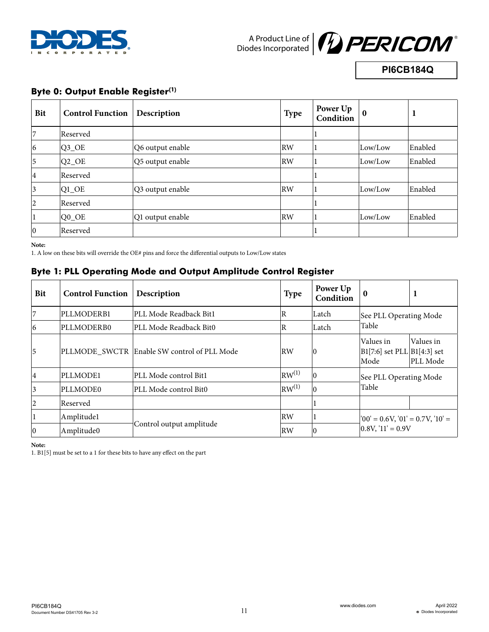



# **PI6CB184Q**

# **Byte 0: Output Enable Register(1)**

| Bit                     | <b>Control Function</b> | Description      | <b>Type</b> | Power Up<br>Condition | $\mathbf 0$ |         |
|-------------------------|-------------------------|------------------|-------------|-----------------------|-------------|---------|
|                         | Reserved                |                  |             |                       |             |         |
| $ 6\rangle$             | $Q3$ <sup>OE</sup>      | Q6 output enable | <b>RW</b>   |                       | Low/Low     | Enabled |
| 5                       | $ Q2$ <sup>OE</sup>     | Q5 output enable | <b>RW</b>   |                       | Low/Low     | Enabled |
| $\vert 4 \vert$         | Reserved                |                  |             |                       |             |         |
| $\overline{\mathbf{3}}$ | $Q1$ <sup>OE</sup>      | Q3 output enable | <b>RW</b>   |                       | Low/Low     | Enabled |
| $ 2\rangle$             | Reserved                |                  |             |                       |             |         |
|                         | $Q0$ <sup>OE</sup>      | Q1 output enable | <b>RW</b>   |                       | Low/Low     | Enabled |
| $ 0\rangle$             | Reserved                |                  |             |                       |             |         |

**Note:**

1. A low on these bits will override the OE# pins and force the differential outputs to Low/Low states

## **Byte 1: PLL Operating Mode and Output Amplitude Control Register**

| <b>Bit</b>      | <b>Control Function</b> | Description                                 | <b>Type</b>       | Power Up<br>Condition | $\mathbf{0}$                                           | л                     |  |
|-----------------|-------------------------|---------------------------------------------|-------------------|-----------------------|--------------------------------------------------------|-----------------------|--|
|                 | PLLMODERB1              | PLL Mode Readback Bit1                      | $\overline{R}$    | Latch                 | See PLL Operating Mode                                 |                       |  |
| 6               | PLLMODERB0              | PLL Mode Readback Bit0                      | $\overline{R}$    | Latch                 | Table                                                  |                       |  |
| 5               |                         | PLLMODE SWCTR Enable SW control of PLL Mode | <b>RW</b>         | 0                     | Values in<br>$ B1[7:6]$ set PLL $ B1[4:3]$ set<br>Mode | Values in<br>PLL Mode |  |
| $\vert 4 \vert$ | PLLMODE1                | PLL Mode control Bit1                       | RW <sup>(1)</sup> | $\overline{0}$        | See PLL Operating Mode                                 |                       |  |
| 3               | PLLMODE0                | PLL Mode control Bit0                       | $RW^{(1)}$        | $\Omega$              | Table                                                  |                       |  |
| $\overline{2}$  | Reserved                |                                             |                   |                       |                                                        |                       |  |
|                 | Amplitudel              |                                             | RW                |                       | $ '00' = 0.6V, '01' = 0.7V, '10' =$                    |                       |  |
| $ 0\rangle$     | Amplitude0              | Control output amplitude                    | <b>RW</b>         | 10                    | $0.8V$ , '11' = 0.9V                                   |                       |  |

**Note:**

1. B1[5] must be set to a 1 for these bits to have any effect on the part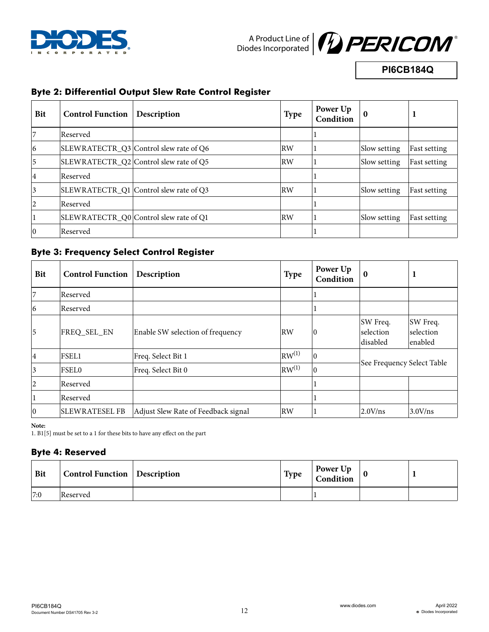



**PI6CB184Q**

# **Byte 2: Differential Output Slew Rate Control Register**

| <b>Bit</b>     | <b>Control Function</b> | Description                            | <b>Type</b>               | Power Up<br>Condition | $\bf{0}$     |                     |
|----------------|-------------------------|----------------------------------------|---------------------------|-----------------------|--------------|---------------------|
|                | Reserved                |                                        |                           |                       |              |                     |
| $\overline{6}$ |                         | SLEWRATECTR_Q3 Control slew rate of Q6 | RW                        |                       | Slow setting | Fast setting        |
| 5              |                         | SLEWRATECTR_Q2 Control slew rate of Q5 | $\mathsf{R}^{\mathsf{W}}$ |                       | Slow setting | <b>Fast setting</b> |
| 4              | Reserved                |                                        |                           |                       |              |                     |
| 3              |                         | SLEWRATECTR_Q1 Control slew rate of Q3 | RW                        |                       | Slow setting | Fast setting        |
| 2              | Reserved                |                                        |                           |                       |              |                     |
|                |                         | SLEWRATECTR_Q0 Control slew rate of Q1 | RW                        |                       | Slow setting | Fast setting        |
| $ 0\rangle$    | Reserved                |                                        |                           |                       |              |                     |

## **Byte 3: Frequency Select Control Register**

| Bit            | <b>Control Function</b> | Description                         | <b>Type</b>               | Power Up<br>Condition | $\bf{0}$                          |                                  |
|----------------|-------------------------|-------------------------------------|---------------------------|-----------------------|-----------------------------------|----------------------------------|
| 7              | Reserved                |                                     |                           |                       |                                   |                                  |
| $\overline{6}$ | Reserved                |                                     |                           |                       |                                   |                                  |
| 5              | FREQ_SEL_EN             | Enable SW selection of frequency    | RW                        | $\overline{0}$        | SW Freq.<br>selection<br>disabled | SW Freq.<br>selection<br>enabled |
| 4              | <b>FSEL1</b>            | Freq. Select Bit 1                  | $\vert$ RW <sup>(1)</sup> | $\overline{0}$        |                                   |                                  |
| 3              | <b>FSEL0</b>            | Freq. Select Bit 0                  | $\vert$ RW <sup>(1)</sup> | $\overline{0}$        | See Frequency Select Table        |                                  |
| 2              | Reserved                |                                     |                           |                       |                                   |                                  |
|                | Reserved                |                                     |                           |                       |                                   |                                  |
| $ 0\rangle$    | <b>SLEWRATESEL FB</b>   | Adjust Slew Rate of Feedback signal | RW                        |                       | 2.0 V/ns                          | $3.0V$ /ns                       |

**Note:**

1. B1[5] must be set to a 1 for these bits to have any effect on the part

# **Byte 4: Reserved**

| <b>Bit</b> | <b>Control Function</b> Description | <b>Type</b> | Power Up<br>Condition |  |
|------------|-------------------------------------|-------------|-----------------------|--|
| 7:0        | Reserved                            |             |                       |  |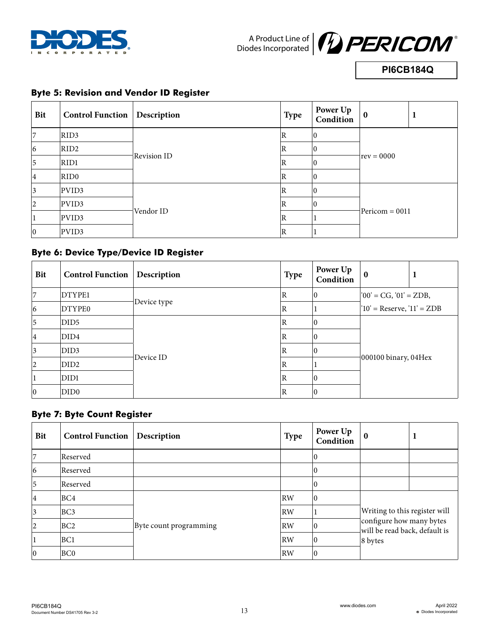



**PI6CB184Q**

#### **Bit Control Function Description Type Power Up Power Up**  $\begin{bmatrix} 1 \\ 1 \end{bmatrix}$  **Condition**  $7$  RID3 Revision ID  $\mathbb{R}$  0  $rev = 0000$ 6 RID2 R 1 5 RID1 R 0 4 RIDO | R 0 3 PVID3 Vendor ID R 0 Pericom = 0011 2 PVID3 R 0 1 PVID3  $\vert$   $\vert$   $\vert$ 0 PVID3  $\vert$   $\vert$   $\vert$

# **Byte 5: Revision and Vendor ID Register**

# **Byte 6: Device Type/Device ID Register**

| Bit            | <b>Control Function</b> | Description | Type        | Power Up<br>Condition | $\mathbf{0}$                                              | л |
|----------------|-------------------------|-------------|-------------|-----------------------|-----------------------------------------------------------|---|
| $\overline{7}$ | DTYPE1                  | Device type | ΙR          |                       | $ '00' = CG, '01' = ZDB,$<br>$10'$ = Reserve, $11'$ = ZDB |   |
| $ 6\rangle$    | DTYPE0                  |             | $\mathbb R$ |                       |                                                           |   |
| 5              | DID <sub>5</sub>        | Device ID   | R           |                       |                                                           |   |
| 4              | DID4                    |             | $\mathbb R$ |                       |                                                           |   |
| 3              | DID3                    |             | ΙR          |                       |                                                           |   |
| $ 2\rangle$    | DID <sub>2</sub>        |             | ΙR          |                       | $ 000100 \text{ binary}, 04$ Hex                          |   |
|                | DID1                    |             | R           |                       |                                                           |   |
| $ 0\rangle$    | DID0                    |             | $\mathbb R$ |                       |                                                           |   |

## **Byte 7: Byte Count Register**

| <b>Bit</b>     | <b>Control Function</b> | Description            | <b>Type</b> | Power Up<br>Condition | $\bf{0}$                                                                                              | 1 |
|----------------|-------------------------|------------------------|-------------|-----------------------|-------------------------------------------------------------------------------------------------------|---|
| 7              | Reserved                |                        |             |                       |                                                                                                       |   |
| 6              | Reserved                |                        |             |                       |                                                                                                       |   |
| $\overline{5}$ | Reserved                |                        |             |                       |                                                                                                       |   |
| 4              | BC4                     |                        | <b>RW</b>   | 10                    | Writing to this register will<br>configure how many bytes<br>will be read back, default is<br>8 bytes |   |
| 3              | BC <sub>3</sub>         | Byte count programming | <b>RW</b>   |                       |                                                                                                       |   |
| $ 2\rangle$    | BC <sub>2</sub>         |                        | <b>RW</b>   | 10                    |                                                                                                       |   |
|                | BC1                     |                        | <b>RW</b>   | 10                    |                                                                                                       |   |
| $ 0\rangle$    | BC <sub>0</sub>         |                        | <b>RW</b>   | 10                    |                                                                                                       |   |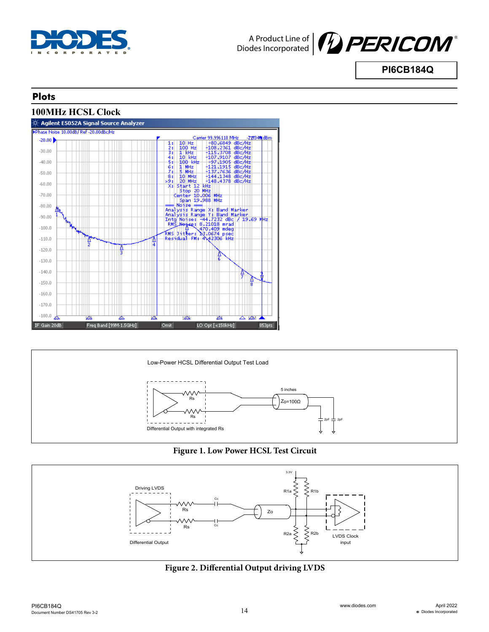



## **Plots**





#### **Figure 1. Low Power HCSL Test Circuit**



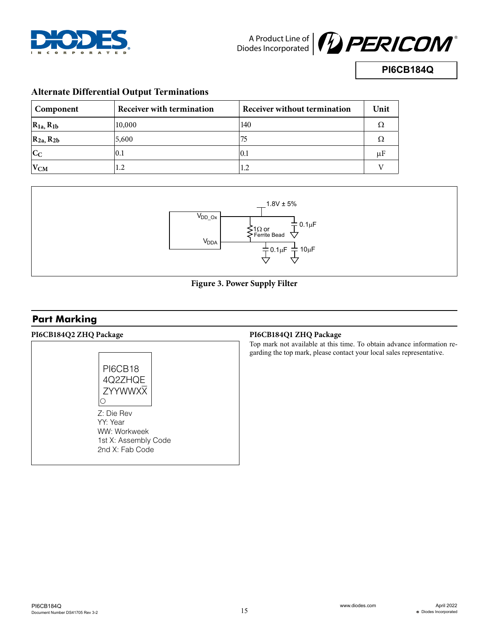



**PI6CB184Q**

## **Alternate Differential Output Terminations**

| Component           | Receiver with termination | Receiver without termination | Unit |
|---------------------|---------------------------|------------------------------|------|
| $R_{1a}$ , $R_{1b}$ | 10,000                    | 140                          | Ω    |
| $R_{2a}$ , $R_{2b}$ | 5,600                     | 75                           | Ω    |
| $ C_C$              | 0.1                       | 0.1                          | μF   |
| $ V_{CM} $          | 1.2                       | 1.2                          |      |





# **Part Marking**

| <b>PI6CB18</b>                       |  |
|--------------------------------------|--|
| 4Q2ZHQE<br>ZYYWWXX                   |  |
|                                      |  |
| Z: Die Rev<br>YY: Year               |  |
| WW: Workweek<br>1st X: Assembly Code |  |
| 2nd X: Fab Code                      |  |
|                                      |  |

#### **PI6CB184Q2 ZHQ Package PI6CB184Q1 ZHQ Package**

Top mark not available at this time. To obtain advance information regarding the top mark, please contact your local sales representative.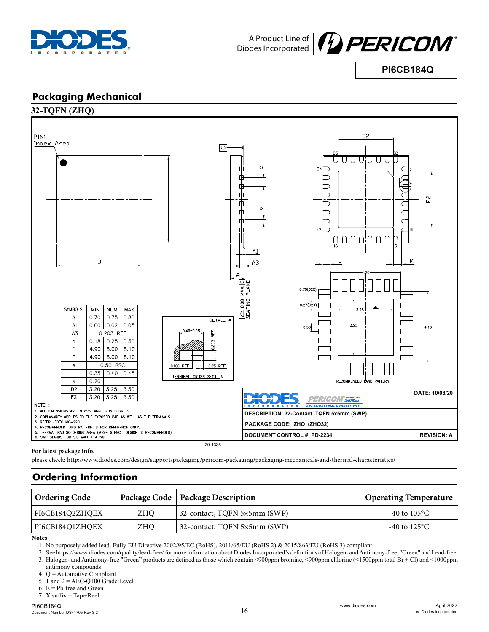



**PI6CB184Q**

## **Packaging Mechanical**





#### **For latest package info.**

please check: http://www.diodes.com/design/support/packaging/pericom-packaging/packaging-mechanicals-and-thermal-characteristics/

# **Ordering Information**

| <b>Ordering Code</b> |     | Package Code   Package Description | <b>Operating Temperature</b> |
|----------------------|-----|------------------------------------|------------------------------|
| PI6CB184O2ZHOEX      | ZHO | 32-contact, TQFN 5×5mm (SWP)       | -40 to $105^{\circ}$ C       |
| PI6CB184O1ZHOEX      | ZHO | 32-contact, TQFN 5×5mm (SWP)       | -40 to $125^{\circ}$ C       |

**Notes:**

1. No purposely added lead. Fully EU Directive 2002/95/EC (RoHS), 2011/65/EU (RoHS 2) & 2015/863/EU (RoHS 3) compliant.

2. See https://www.diodes.com/quality/lead-free/ for more information about Diodes Incorporated's definitions of Halogen- and Antimony-free, "Green" and Lead-free. 3. Halogen- and Antimony-free "Green" products are defined as those which contain <900ppm bromine, <900ppm chlorine (<1500ppm total Br + Cl) and <1000ppm

- antimony compounds.
- 4. Q = Automotive Compliant
- 5. 1 and  $2 =$  AEC-Q100 Grade Level
- 6.  $E = Pb$ -free and Green
- 7. X suffix = Tape/Reel